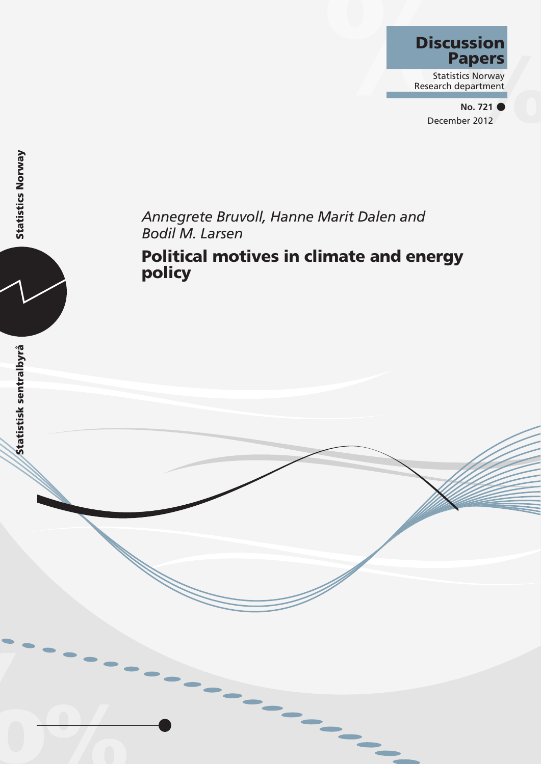# **Discussion** Papers

Statistics Norway Research department

> **No. 721 •** December 2012

# *Annegrete Bruvoll, Hanne Marit Dalen and Bodil M. Larsen*

Political motives in climate and energy policy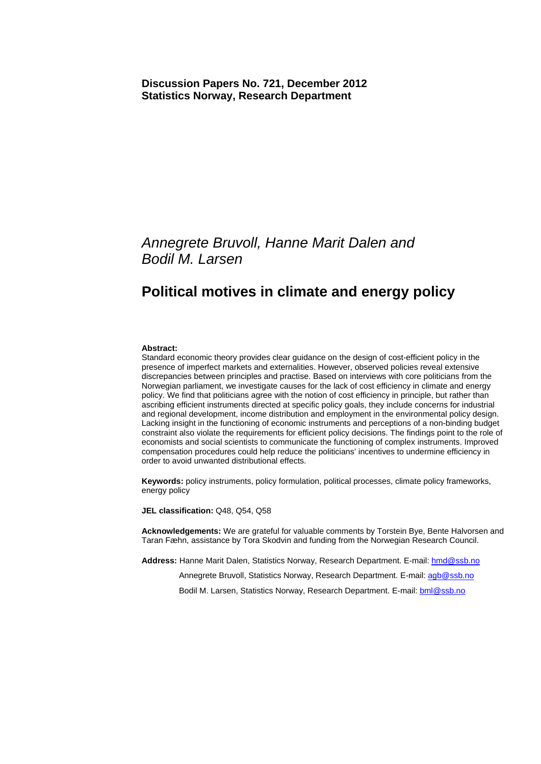### *Annegrete Bruvoll, Hanne Marit Dalen and Bodil M. Larsen*

### **Political motives in climate and energy policy**

#### **Abstract:**

Standard economic theory provides clear guidance on the design of cost-efficient policy in the presence of imperfect markets and externalities. However, observed policies reveal extensive discrepancies between principles and practise. Based on interviews with core politicians from the Norwegian parliament, we investigate causes for the lack of cost efficiency in climate and energy policy. We find that politicians agree with the notion of cost efficiency in principle, but rather than ascribing efficient instruments directed at specific policy goals, they include concerns for industrial and regional development, income distribution and employment in the environmental policy design. Lacking insight in the functioning of economic instruments and perceptions of a non-binding budget constraint also violate the requirements for efficient policy decisions. The findings point to the role of economists and social scientists to communicate the functioning of complex instruments. Improved compensation procedures could help reduce the politicians' incentives to undermine efficiency in order to avoid unwanted distributional effects.

**Keywords:** policy instruments, policy formulation, political processes, climate policy frameworks, energy policy

**JEL classification:** Q48, Q54, Q58

**Acknowledgements:** We are grateful for valuable comments by Torstein Bye, Bente Halvorsen and Taran Fæhn, assistance by Tora Skodvin and funding from the Norwegian Research Council.

**Address:** Hanne Marit Dalen, Statistics Norway, Research Department. E-mail: hmd@ssb.no

Annegrete Bruvoll, Statistics Norway, Research Department. E-mail: agb@ssb.no

Bodil M. Larsen, Statistics Norway, Research Department. E-mail: bml@ssb.no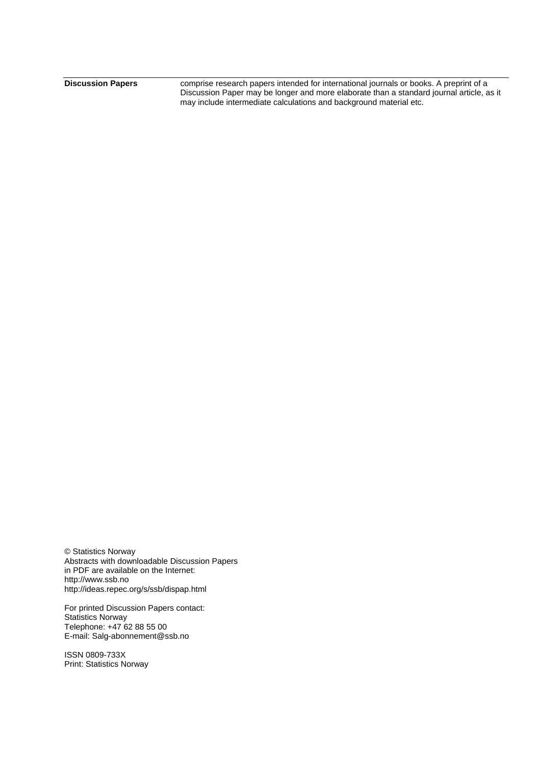**Discussion Papers** comprise research papers intended for international journals or books. A preprint of a Discussion Paper may be longer and more elaborate than a standard journal article, as it may include intermediate calculations and background material etc.

© Statistics Norway Abstracts with downloadable Discussion Papers in PDF are available on the Internet: http://www.ssb.no http://ideas.repec.org/s/ssb/dispap.html

For printed Discussion Papers contact: Statistics Norway Telephone: +47 62 88 55 00 E-mail: Salg-abonnement@ssb.no

ISSN 0809-733X Print: Statistics Norway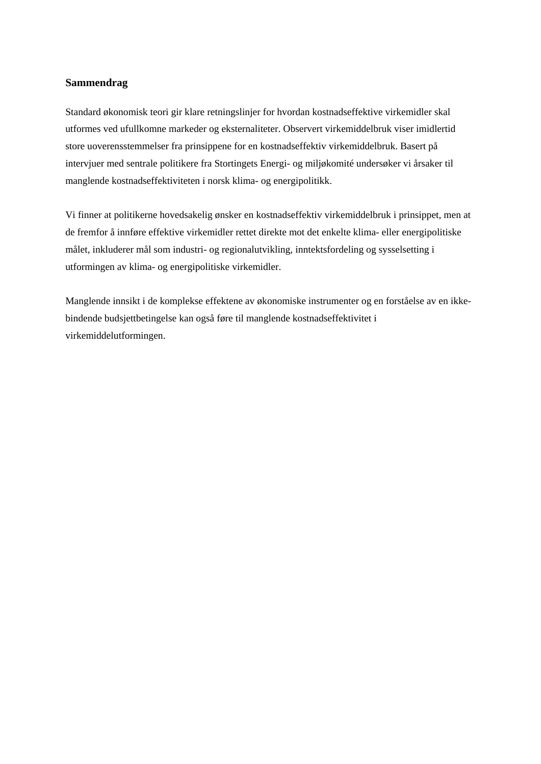#### **Sammendrag**

Standard økonomisk teori gir klare retningslinjer for hvordan kostnadseffektive virkemidler skal utformes ved ufullkomne markeder og eksternaliteter. Observert virkemiddelbruk viser imidlertid store uoverensstemmelser fra prinsippene for en kostnadseffektiv virkemiddelbruk. Basert på intervjuer med sentrale politikere fra Stortingets Energi- og miljøkomité undersøker vi årsaker til manglende kostnadseffektiviteten i norsk klima- og energipolitikk.

Vi finner at politikerne hovedsakelig ønsker en kostnadseffektiv virkemiddelbruk i prinsippet, men at de fremfor å innføre effektive virkemidler rettet direkte mot det enkelte klima- eller energipolitiske målet, inkluderer mål som industri- og regionalutvikling, inntektsfordeling og sysselsetting i utformingen av klima- og energipolitiske virkemidler.

Manglende innsikt i de komplekse effektene av økonomiske instrumenter og en forståelse av en ikkebindende budsjettbetingelse kan også føre til manglende kostnadseffektivitet i virkemiddelutformingen.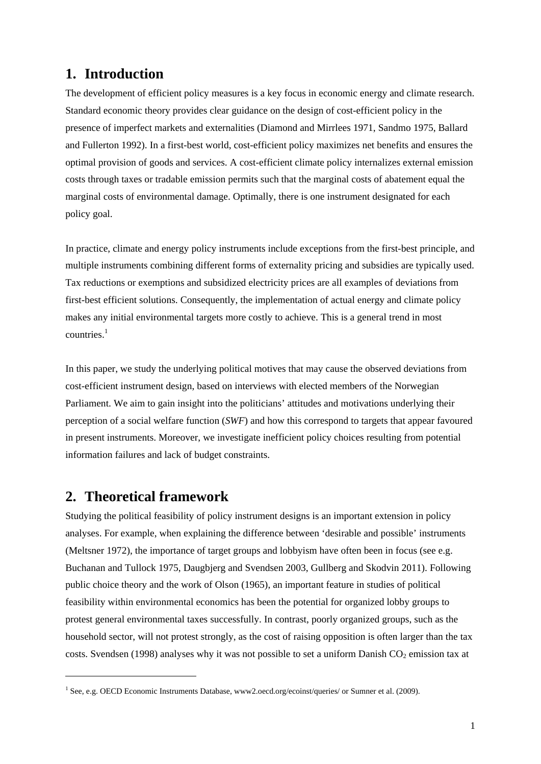### **1. Introduction**

The development of efficient policy measures is a key focus in economic energy and climate research. Standard economic theory provides clear guidance on the design of cost-efficient policy in the presence of imperfect markets and externalities (Diamond and Mirrlees 1971, Sandmo 1975, Ballard and Fullerton 1992). In a first-best world, cost-efficient policy maximizes net benefits and ensures the optimal provision of goods and services. A cost-efficient climate policy internalizes external emission costs through taxes or tradable emission permits such that the marginal costs of abatement equal the marginal costs of environmental damage. Optimally, there is one instrument designated for each policy goal.

In practice, climate and energy policy instruments include exceptions from the first-best principle, and multiple instruments combining different forms of externality pricing and subsidies are typically used. Tax reductions or exemptions and subsidized electricity prices are all examples of deviations from first-best efficient solutions. Consequently, the implementation of actual energy and climate policy makes any initial environmental targets more costly to achieve. This is a general trend in most  $countries$ <sup>1</sup>

In this paper, we study the underlying political motives that may cause the observed deviations from cost-efficient instrument design, based on interviews with elected members of the Norwegian Parliament. We aim to gain insight into the politicians' attitudes and motivations underlying their perception of a social welfare function (*SWF*) and how this correspond to targets that appear favoured in present instruments. Moreover, we investigate inefficient policy choices resulting from potential information failures and lack of budget constraints.

### **2. Theoretical framework**

1

Studying the political feasibility of policy instrument designs is an important extension in policy analyses. For example, when explaining the difference between 'desirable and possible' instruments (Meltsner 1972), the importance of target groups and lobbyism have often been in focus (see e.g. Buchanan and Tullock 1975, Daugbjerg and Svendsen 2003, Gullberg and Skodvin 2011). Following public choice theory and the work of Olson (1965), an important feature in studies of political feasibility within environmental economics has been the potential for organized lobby groups to protest general environmental taxes successfully. In contrast, poorly organized groups, such as the household sector, will not protest strongly, as the cost of raising opposition is often larger than the tax costs. Svendsen (1998) analyses why it was not possible to set a uniform Danish CO<sub>2</sub> emission tax at

<sup>&</sup>lt;sup>1</sup> See, e.g. OECD Economic Instruments Database, www2.oecd.org/ecoinst/queries/ or Sumner et al. (2009).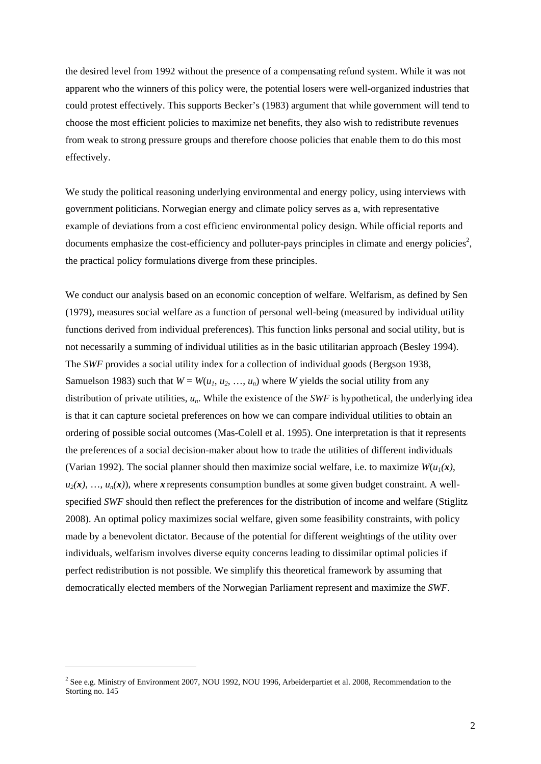the desired level from 1992 without the presence of a compensating refund system. While it was not apparent who the winners of this policy were, the potential losers were well-organized industries that could protest effectively. This supports Becker's (1983) argument that while government will tend to choose the most efficient policies to maximize net benefits, they also wish to redistribute revenues from weak to strong pressure groups and therefore choose policies that enable them to do this most effectively.

We study the political reasoning underlying environmental and energy policy, using interviews with government politicians. Norwegian energy and climate policy serves as a, with representative example of deviations from a cost efficienc environmental policy design. While official reports and documents emphasize the cost-efficiency and polluter-pays principles in climate and energy policies<sup>2</sup>, the practical policy formulations diverge from these principles.

We conduct our analysis based on an economic conception of welfare. Welfarism, as defined by Sen (1979), measures social welfare as a function of personal well-being (measured by individual utility functions derived from individual preferences). This function links personal and social utility, but is not necessarily a summing of individual utilities as in the basic utilitarian approach (Besley 1994). The *SWF* provides a social utility index for a collection of individual goods (Bergson 1938, Samuelson 1983) such that  $W = W(u_1, u_2, ..., u_n)$  where *W* yields the social utility from any distribution of private utilities, *un*. While the existence of the *SWF* is hypothetical, the underlying idea is that it can capture societal preferences on how we can compare individual utilities to obtain an ordering of possible social outcomes (Mas-Colell et al. 1995). One interpretation is that it represents the preferences of a social decision-maker about how to trade the utilities of different individuals (Varian 1992). The social planner should then maximize social welfare, i.e. to maximize  $W(u_1(x))$ ,  $u_2(x)$ , ...,  $u_n(x)$ , where *x* represents consumption bundles at some given budget constraint. A wellspecified *SWF* should then reflect the preferences for the distribution of income and welfare (Stiglitz 2008). An optimal policy maximizes social welfare, given some feasibility constraints, with policy made by a benevolent dictator. Because of the potential for different weightings of the utility over individuals, welfarism involves diverse equity concerns leading to dissimilar optimal policies if perfect redistribution is not possible. We simplify this theoretical framework by assuming that democratically elected members of the Norwegian Parliament represent and maximize the *SWF*.

-

 $2$  See e.g. Ministry of Environment 2007, NOU 1992, NOU 1996, Arbeiderpartiet et al. 2008, Recommendation to the Storting no. 145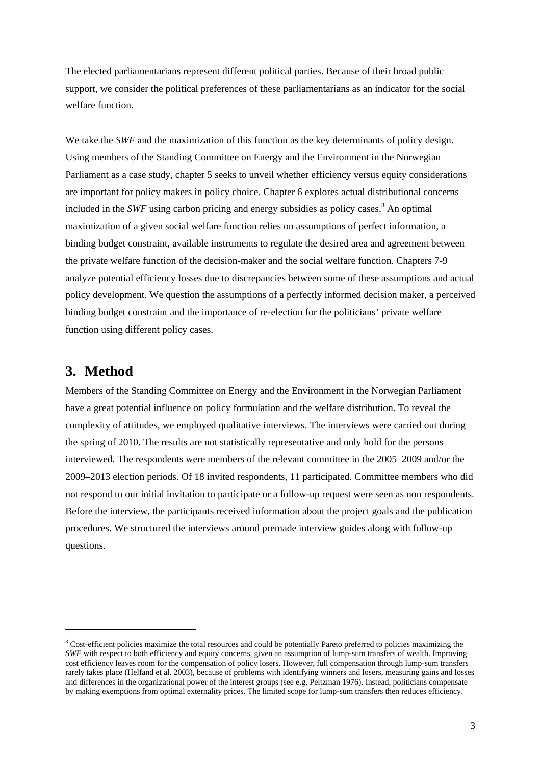The elected parliamentarians represent different political parties. Because of their broad public support, we consider the political preferences of these parliamentarians as an indicator for the social welfare function.

We take the *SWF* and the maximization of this function as the key determinants of policy design. Using members of the Standing Committee on Energy and the Environment in the Norwegian Parliament as a case study, chapter 5 seeks to unveil whether efficiency versus equity considerations are important for policy makers in policy choice. Chapter 6 explores actual distributional concerns included in the *SWF* using carbon pricing and energy subsidies as policy cases.<sup>3</sup> An optimal maximization of a given social welfare function relies on assumptions of perfect information, a binding budget constraint, available instruments to regulate the desired area and agreement between the private welfare function of the decision-maker and the social welfare function. Chapters 7-9 analyze potential efficiency losses due to discrepancies between some of these assumptions and actual policy development. We question the assumptions of a perfectly informed decision maker, a perceived binding budget constraint and the importance of re-election for the politicians' private welfare function using different policy cases.

### **3. Method**

1

Members of the Standing Committee on Energy and the Environment in the Norwegian Parliament have a great potential influence on policy formulation and the welfare distribution. To reveal the complexity of attitudes, we employed qualitative interviews. The interviews were carried out during the spring of 2010. The results are not statistically representative and only hold for the persons interviewed. The respondents were members of the relevant committee in the 2005–2009 and/or the 2009–2013 election periods. Of 18 invited respondents, 11 participated. Committee members who did not respond to our initial invitation to participate or a follow-up request were seen as non respondents. Before the interview, the participants received information about the project goals and the publication procedures. We structured the interviews around premade interview guides along with follow-up questions.

<sup>&</sup>lt;sup>3</sup> Cost-efficient policies maximize the total resources and could be potentially Pareto preferred to policies maximizing the *SWF* with respect to both efficiency and equity concerns, given an assumption of lump-sum transfers of wealth. Improving cost efficiency leaves room for the compensation of policy losers. However, full compensation through lump-sum transfers rarely takes place (Helfand et al. 2003), because of problems with identifying winners and losers, measuring gains and losses and differences in the organizational power of the interest groups (see e.g. Peltzman 1976). Instead, politicians compensate by making exemptions from optimal externality prices. The limited scope for lump-sum transfers then reduces efficiency.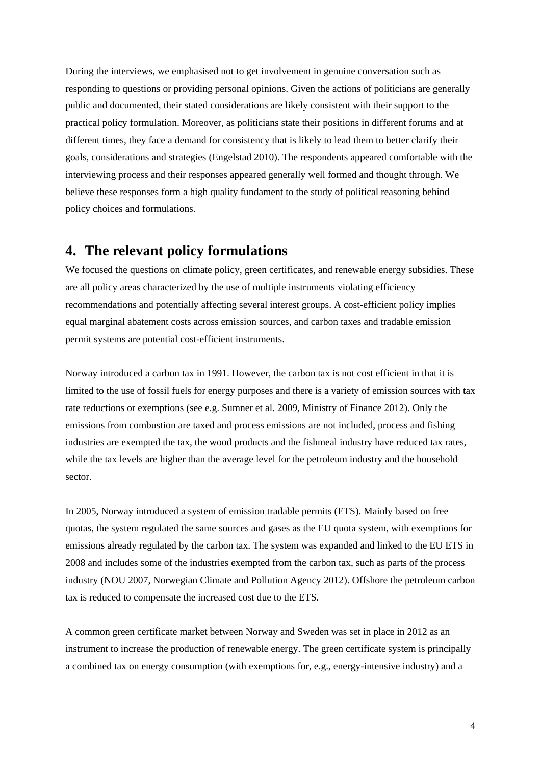During the interviews, we emphasised not to get involvement in genuine conversation such as responding to questions or providing personal opinions. Given the actions of politicians are generally public and documented, their stated considerations are likely consistent with their support to the practical policy formulation. Moreover, as politicians state their positions in different forums and at different times, they face a demand for consistency that is likely to lead them to better clarify their goals, considerations and strategies (Engelstad 2010). The respondents appeared comfortable with the interviewing process and their responses appeared generally well formed and thought through. We believe these responses form a high quality fundament to the study of political reasoning behind policy choices and formulations.

### **4. The relevant policy formulations**

We focused the questions on climate policy, green certificates, and renewable energy subsidies. These are all policy areas characterized by the use of multiple instruments violating efficiency recommendations and potentially affecting several interest groups. A cost-efficient policy implies equal marginal abatement costs across emission sources, and carbon taxes and tradable emission permit systems are potential cost-efficient instruments.

Norway introduced a carbon tax in 1991. However, the carbon tax is not cost efficient in that it is limited to the use of fossil fuels for energy purposes and there is a variety of emission sources with tax rate reductions or exemptions (see e.g. Sumner et al. 2009, Ministry of Finance 2012). Only the emissions from combustion are taxed and process emissions are not included, process and fishing industries are exempted the tax, the wood products and the fishmeal industry have reduced tax rates, while the tax levels are higher than the average level for the petroleum industry and the household sector.

In 2005, Norway introduced a system of emission tradable permits (ETS). Mainly based on free quotas, the system regulated the same sources and gases as the EU quota system, with exemptions for emissions already regulated by the carbon tax. The system was expanded and linked to the EU ETS in 2008 and includes some of the industries exempted from the carbon tax, such as parts of the process industry (NOU 2007, Norwegian Climate and Pollution Agency 2012). Offshore the petroleum carbon tax is reduced to compensate the increased cost due to the ETS.

A common green certificate market between Norway and Sweden was set in place in 2012 as an instrument to increase the production of renewable energy. The green certificate system is principally a combined tax on energy consumption (with exemptions for, e.g., energy-intensive industry) and a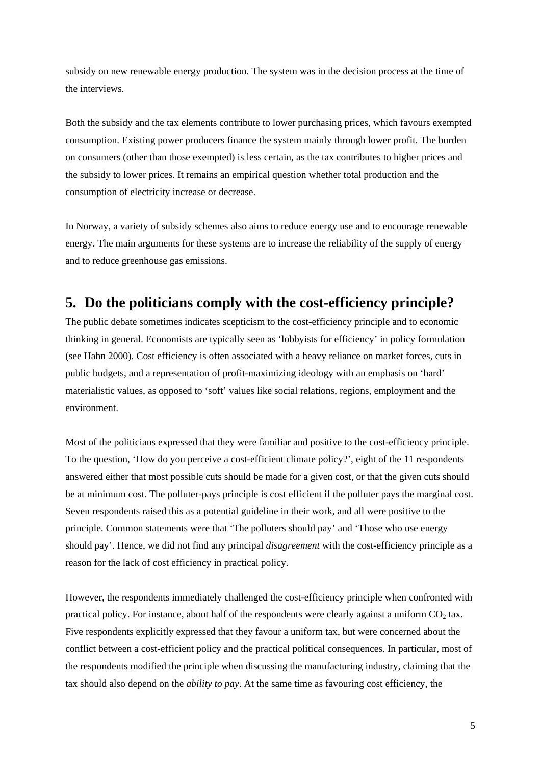subsidy on new renewable energy production. The system was in the decision process at the time of the interviews.

Both the subsidy and the tax elements contribute to lower purchasing prices, which favours exempted consumption. Existing power producers finance the system mainly through lower profit. The burden on consumers (other than those exempted) is less certain, as the tax contributes to higher prices and the subsidy to lower prices. It remains an empirical question whether total production and the consumption of electricity increase or decrease.

In Norway, a variety of subsidy schemes also aims to reduce energy use and to encourage renewable energy. The main arguments for these systems are to increase the reliability of the supply of energy and to reduce greenhouse gas emissions.

### **5. Do the politicians comply with the cost-efficiency principle?**

The public debate sometimes indicates scepticism to the cost-efficiency principle and to economic thinking in general. Economists are typically seen as 'lobbyists for efficiency' in policy formulation (see Hahn 2000). Cost efficiency is often associated with a heavy reliance on market forces, cuts in public budgets, and a representation of profit-maximizing ideology with an emphasis on 'hard' materialistic values, as opposed to 'soft' values like social relations, regions, employment and the environment.

Most of the politicians expressed that they were familiar and positive to the cost-efficiency principle. To the question, 'How do you perceive a cost-efficient climate policy?', eight of the 11 respondents answered either that most possible cuts should be made for a given cost, or that the given cuts should be at minimum cost. The polluter-pays principle is cost efficient if the polluter pays the marginal cost. Seven respondents raised this as a potential guideline in their work, and all were positive to the principle. Common statements were that 'The polluters should pay' and 'Those who use energy should pay'. Hence, we did not find any principal *disagreement* with the cost-efficiency principle as a reason for the lack of cost efficiency in practical policy.

However, the respondents immediately challenged the cost-efficiency principle when confronted with practical policy. For instance, about half of the respondents were clearly against a uniform  $CO<sub>2</sub>$  tax. Five respondents explicitly expressed that they favour a uniform tax, but were concerned about the conflict between a cost-efficient policy and the practical political consequences. In particular, most of the respondents modified the principle when discussing the manufacturing industry, claiming that the tax should also depend on the *ability to pay*. At the same time as favouring cost efficiency, the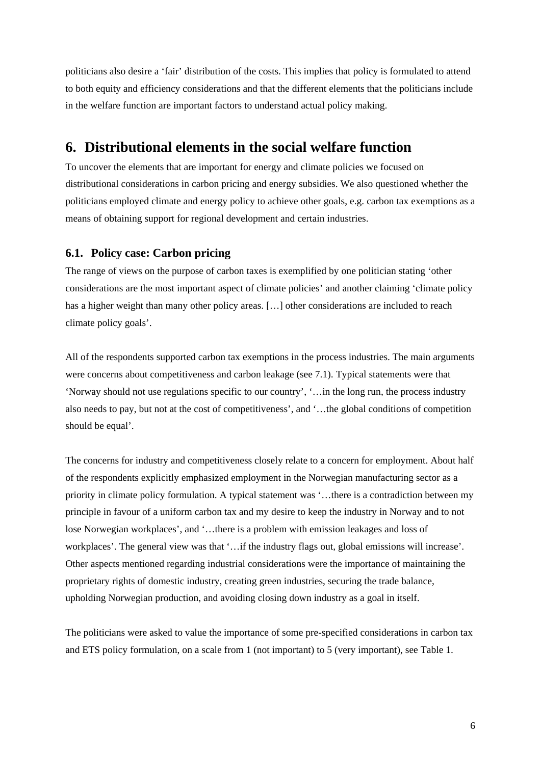politicians also desire a 'fair' distribution of the costs. This implies that policy is formulated to attend to both equity and efficiency considerations and that the different elements that the politicians include in the welfare function are important factors to understand actual policy making.

### **6. Distributional elements in the social welfare function**

To uncover the elements that are important for energy and climate policies we focused on distributional considerations in carbon pricing and energy subsidies. We also questioned whether the politicians employed climate and energy policy to achieve other goals, e.g. carbon tax exemptions as a means of obtaining support for regional development and certain industries.

#### **6.1. Policy case: Carbon pricing**

The range of views on the purpose of carbon taxes is exemplified by one politician stating 'other considerations are the most important aspect of climate policies' and another claiming 'climate policy has a higher weight than many other policy areas. […] other considerations are included to reach climate policy goals'.

All of the respondents supported carbon tax exemptions in the process industries. The main arguments were concerns about competitiveness and carbon leakage (see 7.1). Typical statements were that 'Norway should not use regulations specific to our country', '…in the long run, the process industry also needs to pay, but not at the cost of competitiveness', and '…the global conditions of competition should be equal'.

The concerns for industry and competitiveness closely relate to a concern for employment. About half of the respondents explicitly emphasized employment in the Norwegian manufacturing sector as a priority in climate policy formulation. A typical statement was '…there is a contradiction between my principle in favour of a uniform carbon tax and my desire to keep the industry in Norway and to not lose Norwegian workplaces', and '…there is a problem with emission leakages and loss of workplaces'. The general view was that '…if the industry flags out, global emissions will increase'. Other aspects mentioned regarding industrial considerations were the importance of maintaining the proprietary rights of domestic industry, creating green industries, securing the trade balance, upholding Norwegian production, and avoiding closing down industry as a goal in itself.

The politicians were asked to value the importance of some pre-specified considerations in carbon tax and ETS policy formulation, on a scale from 1 (not important) to 5 (very important), see Table 1.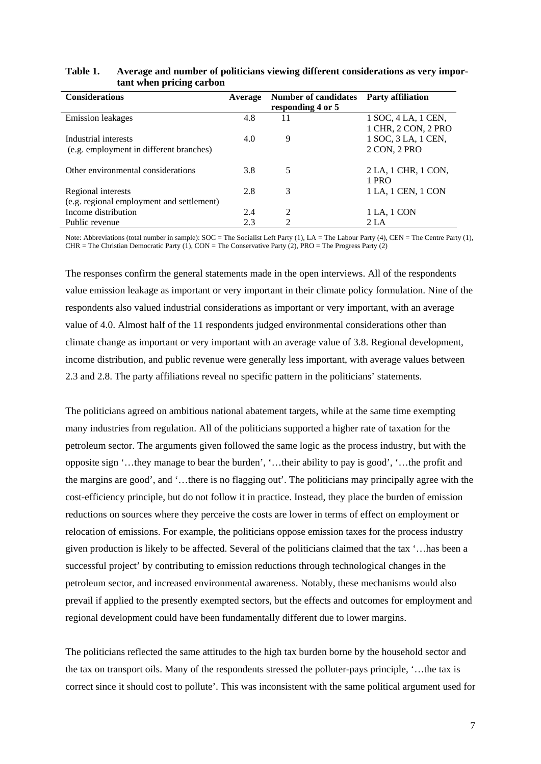| <b>Considerations</b>                     | Average | <b>Number of candidates</b><br>responding 4 or 5 | <b>Party affiliation</b> |
|-------------------------------------------|---------|--------------------------------------------------|--------------------------|
| <b>Emission</b> leakages                  | 4.8     | 11                                               | 1 SOC, 4 LA, 1 CEN,      |
|                                           |         |                                                  | 1 CHR, 2 CON, 2 PRO      |
| Industrial interests                      | 4.0     | 9                                                | 1 SOC, 3 LA, 1 CEN,      |
| (e.g. employment in different branches)   |         |                                                  | 2 CON, 2 PRO             |
|                                           |         |                                                  |                          |
| Other environmental considerations        | 3.8     | 5                                                | 2 LA, 1 CHR, 1 CON,      |
|                                           |         |                                                  | 1 PRO                    |
| Regional interests                        | 2.8     | 3                                                | 1 LA, 1 CEN, 1 CON       |
| (e.g. regional employment and settlement) |         |                                                  |                          |
| Income distribution                       | 2.4     | $\mathfrak{D}$                                   | 1 LA, 1 CON              |
| Public revenue                            | 2.3     | $\mathfrak{D}$                                   | 2 <sub>L</sub> A         |

#### **Table 1. Average and number of politicians viewing different considerations as very important when pricing carbon**

Note: Abbreviations (total number in sample): SOC = The Socialist Left Party (1), LA = The Labour Party (4), CEN = The Centre Party (1), CHR = The Christian Democratic Party (1), CON = The Conservative Party (2), PRO = The Progress Party (2)

The responses confirm the general statements made in the open interviews. All of the respondents value emission leakage as important or very important in their climate policy formulation. Nine of the respondents also valued industrial considerations as important or very important, with an average value of 4.0. Almost half of the 11 respondents judged environmental considerations other than climate change as important or very important with an average value of 3.8. Regional development, income distribution, and public revenue were generally less important, with average values between 2.3 and 2.8. The party affiliations reveal no specific pattern in the politicians' statements.

The politicians agreed on ambitious national abatement targets, while at the same time exempting many industries from regulation. All of the politicians supported a higher rate of taxation for the petroleum sector. The arguments given followed the same logic as the process industry, but with the opposite sign '…they manage to bear the burden', '…their ability to pay is good', '…the profit and the margins are good', and '…there is no flagging out'. The politicians may principally agree with the cost-efficiency principle, but do not follow it in practice. Instead, they place the burden of emission reductions on sources where they perceive the costs are lower in terms of effect on employment or relocation of emissions. For example, the politicians oppose emission taxes for the process industry given production is likely to be affected. Several of the politicians claimed that the tax '…has been a successful project' by contributing to emission reductions through technological changes in the petroleum sector, and increased environmental awareness. Notably, these mechanisms would also prevail if applied to the presently exempted sectors, but the effects and outcomes for employment and regional development could have been fundamentally different due to lower margins.

The politicians reflected the same attitudes to the high tax burden borne by the household sector and the tax on transport oils. Many of the respondents stressed the polluter-pays principle, '…the tax is correct since it should cost to pollute'. This was inconsistent with the same political argument used for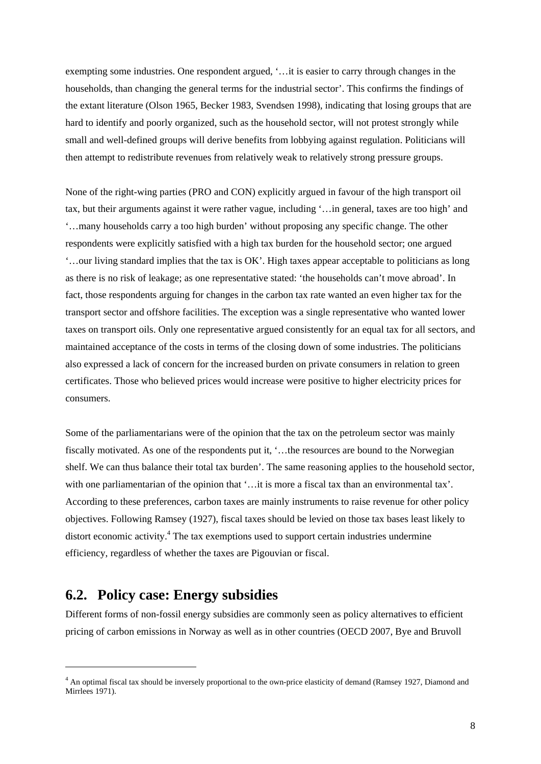exempting some industries. One respondent argued, '…it is easier to carry through changes in the households, than changing the general terms for the industrial sector'. This confirms the findings of the extant literature (Olson 1965, Becker 1983, Svendsen 1998), indicating that losing groups that are hard to identify and poorly organized, such as the household sector, will not protest strongly while small and well-defined groups will derive benefits from lobbying against regulation. Politicians will then attempt to redistribute revenues from relatively weak to relatively strong pressure groups.

None of the right-wing parties (PRO and CON) explicitly argued in favour of the high transport oil tax, but their arguments against it were rather vague, including '…in general, taxes are too high' and '…many households carry a too high burden' without proposing any specific change. The other respondents were explicitly satisfied with a high tax burden for the household sector; one argued '…our living standard implies that the tax is OK'. High taxes appear acceptable to politicians as long as there is no risk of leakage; as one representative stated: 'the households can't move abroad'. In fact, those respondents arguing for changes in the carbon tax rate wanted an even higher tax for the transport sector and offshore facilities. The exception was a single representative who wanted lower taxes on transport oils. Only one representative argued consistently for an equal tax for all sectors, and maintained acceptance of the costs in terms of the closing down of some industries. The politicians also expressed a lack of concern for the increased burden on private consumers in relation to green certificates. Those who believed prices would increase were positive to higher electricity prices for consumers.

Some of the parliamentarians were of the opinion that the tax on the petroleum sector was mainly fiscally motivated. As one of the respondents put it, '…the resources are bound to the Norwegian shelf. We can thus balance their total tax burden'. The same reasoning applies to the household sector, with one parliamentarian of the opinion that '... it is more a fiscal tax than an environmental tax'. According to these preferences, carbon taxes are mainly instruments to raise revenue for other policy objectives. Following Ramsey (1927), fiscal taxes should be levied on those tax bases least likely to distort economic activity.<sup>4</sup> The tax exemptions used to support certain industries undermine efficiency, regardless of whether the taxes are Pigouvian or fiscal.

### **6.2. Policy case: Energy subsidies**

-

Different forms of non-fossil energy subsidies are commonly seen as policy alternatives to efficient pricing of carbon emissions in Norway as well as in other countries (OECD 2007, Bye and Bruvoll

<sup>&</sup>lt;sup>4</sup> An optimal fiscal tax should be inversely proportional to the own-price elasticity of demand (Ramsey 1927, Diamond and Mirrlees 1971).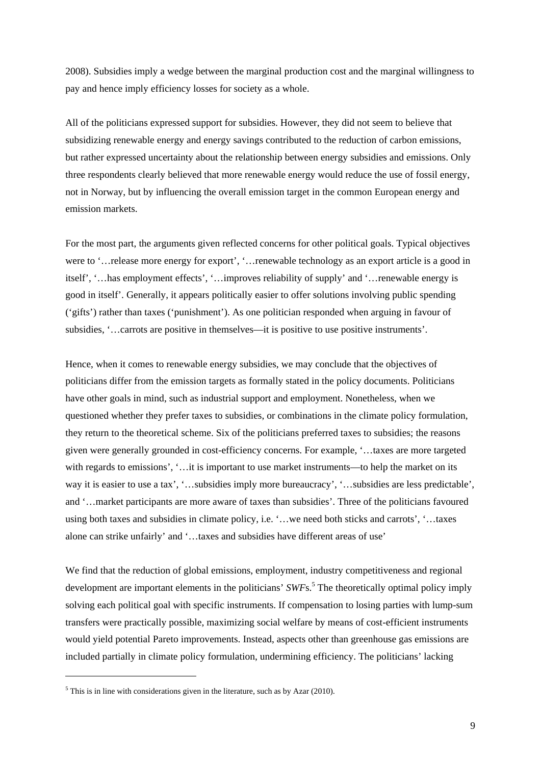2008). Subsidies imply a wedge between the marginal production cost and the marginal willingness to pay and hence imply efficiency losses for society as a whole.

All of the politicians expressed support for subsidies. However, they did not seem to believe that subsidizing renewable energy and energy savings contributed to the reduction of carbon emissions, but rather expressed uncertainty about the relationship between energy subsidies and emissions. Only three respondents clearly believed that more renewable energy would reduce the use of fossil energy, not in Norway, but by influencing the overall emission target in the common European energy and emission markets.

For the most part, the arguments given reflected concerns for other political goals. Typical objectives were to '…release more energy for export', '…renewable technology as an export article is a good in itself', '…has employment effects', '…improves reliability of supply' and '…renewable energy is good in itself'. Generally, it appears politically easier to offer solutions involving public spending ('gifts') rather than taxes ('punishment'). As one politician responded when arguing in favour of subsidies, '…carrots are positive in themselves—it is positive to use positive instruments'.

Hence, when it comes to renewable energy subsidies, we may conclude that the objectives of politicians differ from the emission targets as formally stated in the policy documents. Politicians have other goals in mind, such as industrial support and employment. Nonetheless, when we questioned whether they prefer taxes to subsidies, or combinations in the climate policy formulation, they return to the theoretical scheme. Six of the politicians preferred taxes to subsidies; the reasons given were generally grounded in cost-efficiency concerns. For example, '…taxes are more targeted with regards to emissions', '…it is important to use market instruments—to help the market on its way it is easier to use a tax', '…subsidies imply more bureaucracy', '…subsidies are less predictable', and '…market participants are more aware of taxes than subsidies'. Three of the politicians favoured using both taxes and subsidies in climate policy, i.e. '…we need both sticks and carrots', '…taxes alone can strike unfairly' and '…taxes and subsidies have different areas of use'

We find that the reduction of global emissions, employment, industry competitiveness and regional development are important elements in the politicians' *SWFs*.<sup>5</sup> The theoretically optimal policy imply solving each political goal with specific instruments. If compensation to losing parties with lump-sum transfers were practically possible, maximizing social welfare by means of cost-efficient instruments would yield potential Pareto improvements. Instead, aspects other than greenhouse gas emissions are included partially in climate policy formulation, undermining efficiency. The politicians' lacking

1

 $<sup>5</sup>$  This is in line with considerations given in the literature, such as by Azar (2010).</sup>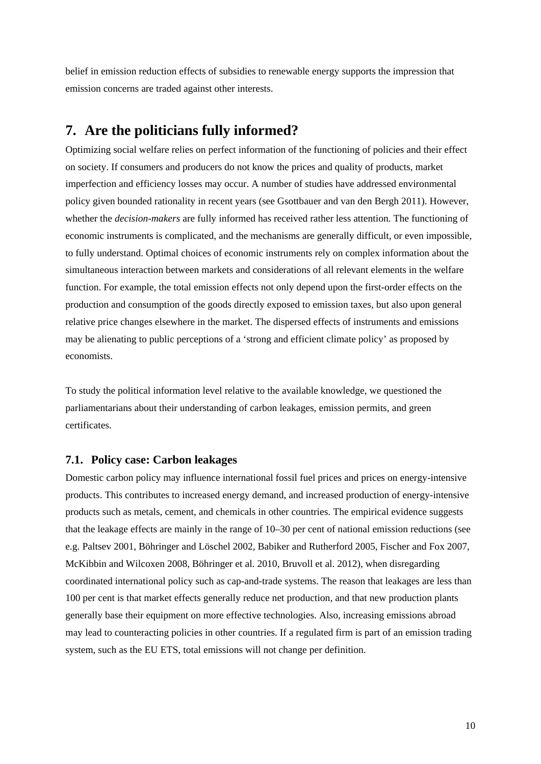belief in emission reduction effects of subsidies to renewable energy supports the impression that emission concerns are traded against other interests.

### **7. Are the politicians fully informed?**

Optimizing social welfare relies on perfect information of the functioning of policies and their effect on society. If consumers and producers do not know the prices and quality of products, market imperfection and efficiency losses may occur. A number of studies have addressed environmental policy given bounded rationality in recent years (see Gsottbauer and van den Bergh 2011). However, whether the *decision-makers* are fully informed has received rather less attention. The functioning of economic instruments is complicated, and the mechanisms are generally difficult, or even impossible, to fully understand. Optimal choices of economic instruments rely on complex information about the simultaneous interaction between markets and considerations of all relevant elements in the welfare function. For example, the total emission effects not only depend upon the first-order effects on the production and consumption of the goods directly exposed to emission taxes, but also upon general relative price changes elsewhere in the market. The dispersed effects of instruments and emissions may be alienating to public perceptions of a 'strong and efficient climate policy' as proposed by economists.

To study the political information level relative to the available knowledge, we questioned the parliamentarians about their understanding of carbon leakages, emission permits, and green certificates.

#### **7.1. Policy case: Carbon leakages**

Domestic carbon policy may influence international fossil fuel prices and prices on energy-intensive products. This contributes to increased energy demand, and increased production of energy-intensive products such as metals, cement, and chemicals in other countries. The empirical evidence suggests that the leakage effects are mainly in the range of 10–30 per cent of national emission reductions (see e.g. Paltsev 2001, Böhringer and Löschel 2002, Babiker and Rutherford 2005, Fischer and Fox 2007, McKibbin and Wilcoxen 2008, Böhringer et al. 2010, Bruvoll et al. 2012), when disregarding coordinated international policy such as cap-and-trade systems. The reason that leakages are less than 100 per cent is that market effects generally reduce net production, and that new production plants generally base their equipment on more effective technologies. Also, increasing emissions abroad may lead to counteracting policies in other countries. If a regulated firm is part of an emission trading system, such as the EU ETS, total emissions will not change per definition.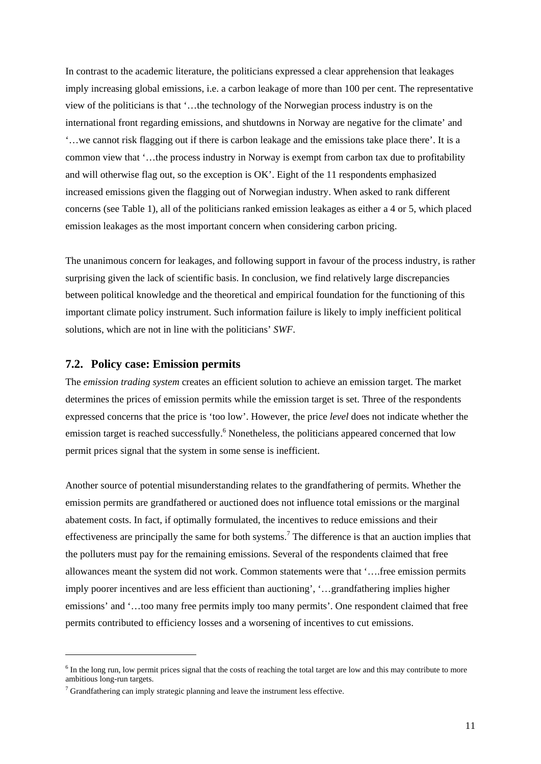In contrast to the academic literature, the politicians expressed a clear apprehension that leakages imply increasing global emissions, i.e. a carbon leakage of more than 100 per cent. The representative view of the politicians is that '…the technology of the Norwegian process industry is on the international front regarding emissions, and shutdowns in Norway are negative for the climate' and '…we cannot risk flagging out if there is carbon leakage and the emissions take place there'. It is a common view that '…the process industry in Norway is exempt from carbon tax due to profitability and will otherwise flag out, so the exception is OK'. Eight of the 11 respondents emphasized increased emissions given the flagging out of Norwegian industry. When asked to rank different concerns (see Table 1), all of the politicians ranked emission leakages as either a 4 or 5, which placed emission leakages as the most important concern when considering carbon pricing.

The unanimous concern for leakages, and following support in favour of the process industry, is rather surprising given the lack of scientific basis. In conclusion, we find relatively large discrepancies between political knowledge and the theoretical and empirical foundation for the functioning of this important climate policy instrument. Such information failure is likely to imply inefficient political solutions, which are not in line with the politicians' *SWF*.

#### **7.2. Policy case: Emission permits**

1

The *emission trading system* creates an efficient solution to achieve an emission target. The market determines the prices of emission permits while the emission target is set. Three of the respondents expressed concerns that the price is 'too low'. However, the price *level* does not indicate whether the emission target is reached successfully.<sup>6</sup> Nonetheless, the politicians appeared concerned that low permit prices signal that the system in some sense is inefficient.

Another source of potential misunderstanding relates to the grandfathering of permits. Whether the emission permits are grandfathered or auctioned does not influence total emissions or the marginal abatement costs. In fact, if optimally formulated, the incentives to reduce emissions and their effectiveness are principally the same for both systems.<sup>7</sup> The difference is that an auction implies that the polluters must pay for the remaining emissions. Several of the respondents claimed that free allowances meant the system did not work. Common statements were that '….free emission permits imply poorer incentives and are less efficient than auctioning', '…grandfathering implies higher emissions' and '…too many free permits imply too many permits'. One respondent claimed that free permits contributed to efficiency losses and a worsening of incentives to cut emissions.

 $6$  In the long run, low permit prices signal that the costs of reaching the total target are low and this may contribute to more ambitious long-run targets.

 $7$  Grandfathering can imply strategic planning and leave the instrument less effective.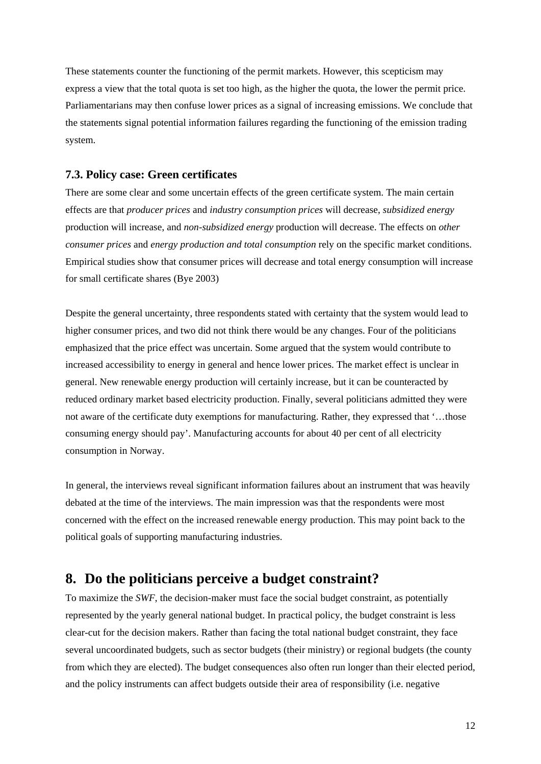These statements counter the functioning of the permit markets. However, this scepticism may express a view that the total quota is set too high, as the higher the quota, the lower the permit price. Parliamentarians may then confuse lower prices as a signal of increasing emissions. We conclude that the statements signal potential information failures regarding the functioning of the emission trading system.

#### **7.3. Policy case: Green certificates**

There are some clear and some uncertain effects of the green certificate system. The main certain effects are that *producer prices* and *industry consumption prices* will decrease, *subsidized energy* production will increase, and *non-subsidized energy* production will decrease. The effects on *other consumer prices* and *energy production and total consumption* rely on the specific market conditions. Empirical studies show that consumer prices will decrease and total energy consumption will increase for small certificate shares (Bye 2003)

Despite the general uncertainty, three respondents stated with certainty that the system would lead to higher consumer prices, and two did not think there would be any changes. Four of the politicians emphasized that the price effect was uncertain. Some argued that the system would contribute to increased accessibility to energy in general and hence lower prices. The market effect is unclear in general. New renewable energy production will certainly increase, but it can be counteracted by reduced ordinary market based electricity production. Finally, several politicians admitted they were not aware of the certificate duty exemptions for manufacturing. Rather, they expressed that '…those consuming energy should pay'. Manufacturing accounts for about 40 per cent of all electricity consumption in Norway.

In general, the interviews reveal significant information failures about an instrument that was heavily debated at the time of the interviews. The main impression was that the respondents were most concerned with the effect on the increased renewable energy production. This may point back to the political goals of supporting manufacturing industries.

### **8. Do the politicians perceive a budget constraint?**

To maximize the *SWF*, the decision-maker must face the social budget constraint, as potentially represented by the yearly general national budget. In practical policy, the budget constraint is less clear-cut for the decision makers. Rather than facing the total national budget constraint, they face several uncoordinated budgets, such as sector budgets (their ministry) or regional budgets (the county from which they are elected). The budget consequences also often run longer than their elected period, and the policy instruments can affect budgets outside their area of responsibility (i.e. negative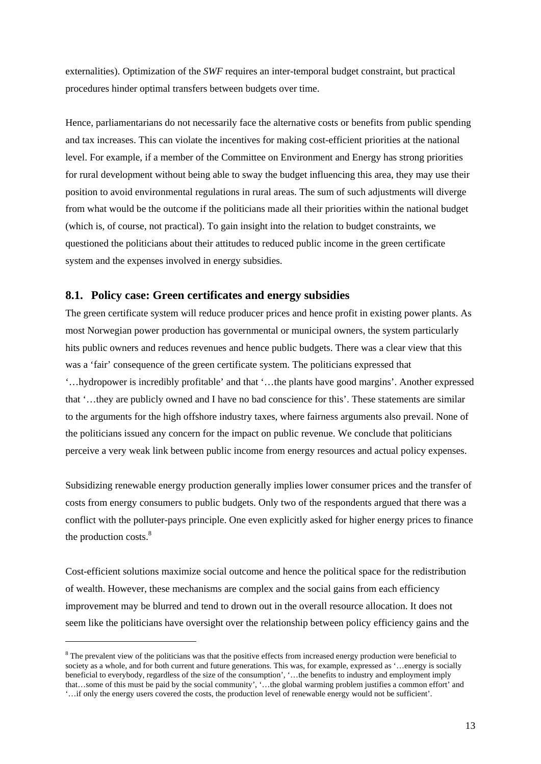externalities). Optimization of the *SWF* requires an inter-temporal budget constraint, but practical procedures hinder optimal transfers between budgets over time.

Hence, parliamentarians do not necessarily face the alternative costs or benefits from public spending and tax increases. This can violate the incentives for making cost-efficient priorities at the national level. For example, if a member of the Committee on Environment and Energy has strong priorities for rural development without being able to sway the budget influencing this area, they may use their position to avoid environmental regulations in rural areas. The sum of such adjustments will diverge from what would be the outcome if the politicians made all their priorities within the national budget (which is, of course, not practical). To gain insight into the relation to budget constraints, we questioned the politicians about their attitudes to reduced public income in the green certificate system and the expenses involved in energy subsidies.

#### **8.1. Policy case: Green certificates and energy subsidies**

The green certificate system will reduce producer prices and hence profit in existing power plants. As most Norwegian power production has governmental or municipal owners, the system particularly hits public owners and reduces revenues and hence public budgets. There was a clear view that this was a 'fair' consequence of the green certificate system. The politicians expressed that '…hydropower is incredibly profitable' and that '…the plants have good margins'. Another expressed that '…they are publicly owned and I have no bad conscience for this'. These statements are similar to the arguments for the high offshore industry taxes, where fairness arguments also prevail. None of the politicians issued any concern for the impact on public revenue. We conclude that politicians perceive a very weak link between public income from energy resources and actual policy expenses.

Subsidizing renewable energy production generally implies lower consumer prices and the transfer of costs from energy consumers to public budgets. Only two of the respondents argued that there was a conflict with the polluter-pays principle. One even explicitly asked for higher energy prices to finance the production costs.<sup>8</sup>

Cost-efficient solutions maximize social outcome and hence the political space for the redistribution of wealth. However, these mechanisms are complex and the social gains from each efficiency improvement may be blurred and tend to drown out in the overall resource allocation. It does not seem like the politicians have oversight over the relationship between policy efficiency gains and the

1

<sup>&</sup>lt;sup>8</sup> The prevalent view of the politicians was that the positive effects from increased energy production were beneficial to society as a whole, and for both current and future generations. This was, for example, expressed as '…energy is socially beneficial to everybody, regardless of the size of the consumption', '…the benefits to industry and employment imply that…some of this must be paid by the social community', '…the global warming problem justifies a common effort' and '…if only the energy users covered the costs, the production level of renewable energy would not be sufficient'.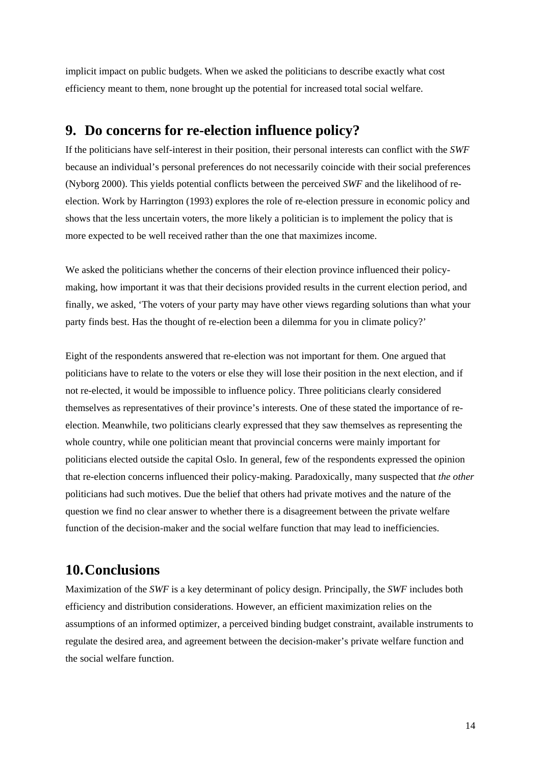implicit impact on public budgets. When we asked the politicians to describe exactly what cost efficiency meant to them, none brought up the potential for increased total social welfare.

### **9. Do concerns for re-election influence policy?**

If the politicians have self-interest in their position, their personal interests can conflict with the *SWF* because an individual's personal preferences do not necessarily coincide with their social preferences (Nyborg 2000). This yields potential conflicts between the perceived *SWF* and the likelihood of reelection. Work by Harrington (1993) explores the role of re-election pressure in economic policy and shows that the less uncertain voters, the more likely a politician is to implement the policy that is more expected to be well received rather than the one that maximizes income.

We asked the politicians whether the concerns of their election province influenced their policymaking, how important it was that their decisions provided results in the current election period, and finally, we asked, 'The voters of your party may have other views regarding solutions than what your party finds best. Has the thought of re-election been a dilemma for you in climate policy?'

Eight of the respondents answered that re-election was not important for them. One argued that politicians have to relate to the voters or else they will lose their position in the next election, and if not re-elected, it would be impossible to influence policy. Three politicians clearly considered themselves as representatives of their province's interests. One of these stated the importance of reelection. Meanwhile, two politicians clearly expressed that they saw themselves as representing the whole country, while one politician meant that provincial concerns were mainly important for politicians elected outside the capital Oslo. In general, few of the respondents expressed the opinion that re-election concerns influenced their policy-making. Paradoxically, many suspected that *the other* politicians had such motives. Due the belief that others had private motives and the nature of the question we find no clear answer to whether there is a disagreement between the private welfare function of the decision-maker and the social welfare function that may lead to inefficiencies.

### **10. Conclusions**

Maximization of the *SWF* is a key determinant of policy design. Principally, the *SWF* includes both efficiency and distribution considerations. However, an efficient maximization relies on the assumptions of an informed optimizer, a perceived binding budget constraint, available instruments to regulate the desired area, and agreement between the decision-maker's private welfare function and the social welfare function.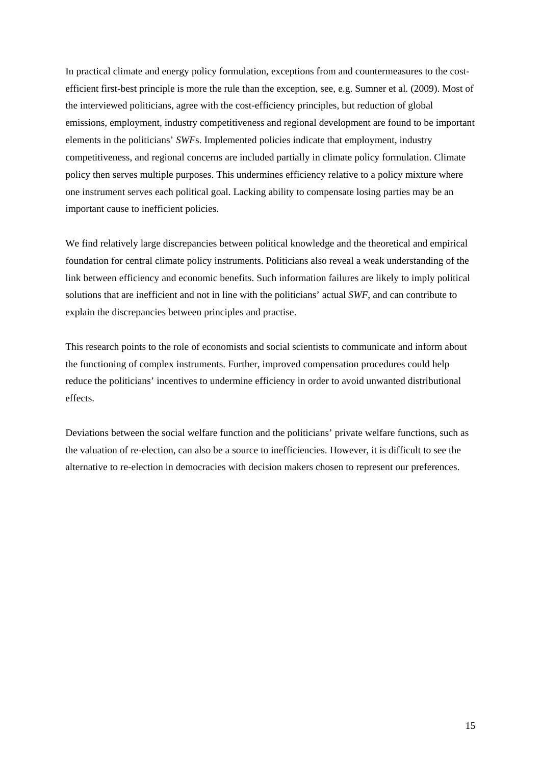In practical climate and energy policy formulation, exceptions from and countermeasures to the costefficient first-best principle is more the rule than the exception, see, e.g. Sumner et al. (2009). Most of the interviewed politicians, agree with the cost-efficiency principles, but reduction of global emissions, employment, industry competitiveness and regional development are found to be important elements in the politicians' *SWF*s. Implemented policies indicate that employment, industry competitiveness, and regional concerns are included partially in climate policy formulation. Climate policy then serves multiple purposes. This undermines efficiency relative to a policy mixture where one instrument serves each political goal. Lacking ability to compensate losing parties may be an important cause to inefficient policies.

We find relatively large discrepancies between political knowledge and the theoretical and empirical foundation for central climate policy instruments. Politicians also reveal a weak understanding of the link between efficiency and economic benefits. Such information failures are likely to imply political solutions that are inefficient and not in line with the politicians' actual *SWF*, and can contribute to explain the discrepancies between principles and practise.

This research points to the role of economists and social scientists to communicate and inform about the functioning of complex instruments. Further, improved compensation procedures could help reduce the politicians' incentives to undermine efficiency in order to avoid unwanted distributional effects.

Deviations between the social welfare function and the politicians' private welfare functions, such as the valuation of re-election, can also be a source to inefficiencies. However, it is difficult to see the alternative to re-election in democracies with decision makers chosen to represent our preferences.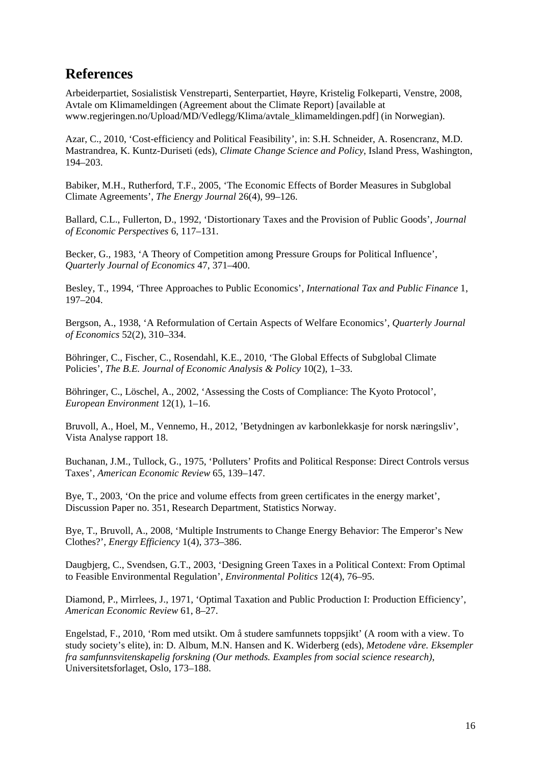### **References**

Arbeiderpartiet, Sosialistisk Venstreparti, Senterpartiet, Høyre, Kristelig Folkeparti, Venstre, 2008, Avtale om Klimameldingen (Agreement about the Climate Report) [available at www.regjeringen.no/Upload/MD/Vedlegg/Klima/avtale\_klimameldingen.pdf] (in Norwegian).

Azar, C., 2010, 'Cost-efficiency and Political Feasibility', in: S.H. Schneider, A. Rosencranz, M.D. Mastrandrea, K. Kuntz-Duriseti (eds), *Climate Change Science and Policy*, Island Press, Washington, 194–203.

Babiker, M.H., Rutherford, T.F., 2005, 'The Economic Effects of Border Measures in Subglobal Climate Agreements', *The Energy Journal* 26(4), 99–126.

Ballard, C.L., Fullerton, D., 1992, 'Distortionary Taxes and the Provision of Public Goods', *Journal of Economic Perspectives* 6, 117–131.

Becker, G., 1983, 'A Theory of Competition among Pressure Groups for Political Influence', *Quarterly Journal of Economics* 47, 371–400.

Besley, T., 1994, 'Three Approaches to Public Economics', *International Tax and Public Finance* 1, 197–204.

Bergson, A., 1938, 'A Reformulation of Certain Aspects of Welfare Economics', *Quarterly Journal of Economics* 52(2), 310–334.

Böhringer, C., Fischer, C., Rosendahl, K.E., 2010, 'The Global Effects of Subglobal Climate Policies', *The B.E. Journal of Economic Analysis & Policy* 10(2), 1–33.

Böhringer, C., Löschel, A., 2002, 'Assessing the Costs of Compliance: The Kyoto Protocol', *European Environment* 12(1), 1–16.

Bruvoll, A., Hoel, M., Vennemo, H., 2012, 'Betydningen av karbonlekkasje for norsk næringsliv', Vista Analyse rapport 18.

Buchanan, J.M., Tullock, G., 1975, 'Polluters' Profits and Political Response: Direct Controls versus Taxes', *American Economic Review* 65, 139–147.

Bye, T., 2003, 'On the price and volume effects from green certificates in the energy market', Discussion Paper no. 351, Research Department, Statistics Norway.

Bye, T., Bruvoll, A., 2008, 'Multiple Instruments to Change Energy Behavior: The Emperor's New Clothes?', *Energy Efficiency* 1(4), 373–386.

Daugbjerg, C., Svendsen, G.T., 2003, 'Designing Green Taxes in a Political Context: From Optimal to Feasible Environmental Regulation', *Environmental Politics* 12(4), 76–95.

Diamond, P., Mirrlees, J., 1971, 'Optimal Taxation and Public Production I: Production Efficiency', *American Economic Review* 61, 8–27.

Engelstad, F., 2010, 'Rom med utsikt. Om å studere samfunnets toppsjikt' (A room with a view. To study society's elite), in: D. Album, M.N. Hansen and K. Widerberg (eds), *Metodene våre. Eksempler fra samfunnsvitenskapelig forskning (Our methods. Examples from social science research)*, Universitetsforlaget, Oslo, 173–188.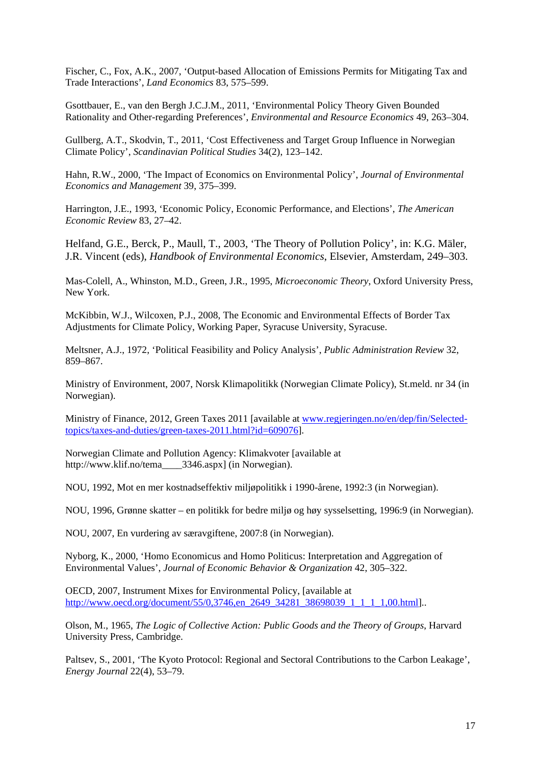Fischer, C., Fox, A.K., 2007, 'Output-based Allocation of Emissions Permits for Mitigating Tax and Trade Interactions', *Land Economics* 83, 575–599.

Gsottbauer, E., van den Bergh J.C.J.M., 2011, 'Environmental Policy Theory Given Bounded Rationality and Other-regarding Preferences', *Environmental and Resource Economics* 49, 263–304.

Gullberg, A.T., Skodvin, T., 2011, 'Cost Effectiveness and Target Group Influence in Norwegian Climate Policy', *Scandinavian Political Studies* 34(2), 123–142.

Hahn, R.W., 2000, 'The Impact of Economics on Environmental Policy', *Journal of Environmental Economics and Management* 39, 375–399.

Harrington, J.E., 1993, 'Economic Policy, Economic Performance, and Elections', *The American Economic Review* 83, 27–42.

Helfand, G.E., Berck, P., Maull, T., 2003, 'The Theory of Pollution Policy', in: K.G. Mäler, J.R. Vincent (eds), *Handbook of Environmental Economics*, Elsevier, Amsterdam, 249–303.

Mas-Colell, A., Whinston, M.D., Green, J.R., 1995, *Microeconomic Theory*, Oxford University Press, New York.

McKibbin, W.J., Wilcoxen, P.J., 2008, The Economic and Environmental Effects of Border Tax Adjustments for Climate Policy, Working Paper, Syracuse University, Syracuse.

Meltsner, A.J., 1972, 'Political Feasibility and Policy Analysis', *Public Administration Review* 32, 859–867.

Ministry of Environment, 2007, Norsk Klimapolitikk (Norwegian Climate Policy), St.meld. nr 34 (in Norwegian).

Ministry of Finance, 2012, Green Taxes 2011 [available at www.regjeringen.no/en/dep/fin/Selectedtopics/taxes-and-duties/green-taxes-2011.html?id=609076].

Norwegian Climate and Pollution Agency: Klimakvoter [available at http://www.klif.no/tema\_\_\_\_3346.aspx] (in Norwegian).

NOU, 1992, Mot en mer kostnadseffektiv miljøpolitikk i 1990-årene, 1992:3 (in Norwegian).

NOU, 1996, Grønne skatter – en politikk for bedre miljø og høy sysselsetting, 1996:9 (in Norwegian).

NOU, 2007, En vurdering av særavgiftene, 2007:8 (in Norwegian).

Nyborg, K., 2000, 'Homo Economicus and Homo Politicus: Interpretation and Aggregation of Environmental Values', *Journal of Economic Behavior & Organization* 42, 305–322.

OECD, 2007, Instrument Mixes for Environmental Policy, [available at http://www.oecd.org/document/55/0,3746,en\_2649\_34281\_38698039\_1\_1\_1\_1,00.html]...

Olson, M., 1965, *The Logic of Collective Action: Public Goods and the Theory of Groups*, Harvard University Press, Cambridge.

Paltsev, S., 2001, 'The Kyoto Protocol: Regional and Sectoral Contributions to the Carbon Leakage', *Energy Journal* 22(4), 53–79.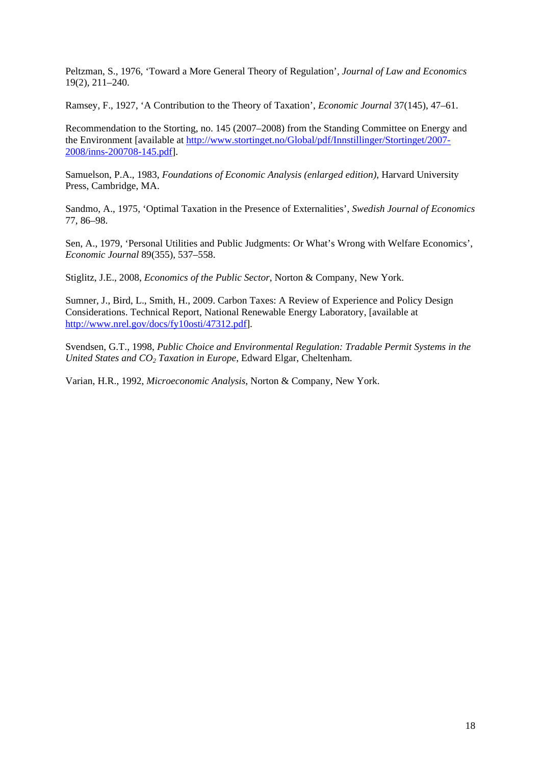Peltzman, S., 1976, 'Toward a More General Theory of Regulation', *Journal of Law and Economics* 19(2), 211–240.

Ramsey, F., 1927, 'A Contribution to the Theory of Taxation', *Economic Journal* 37(145), 47–61.

Recommendation to the Storting, no. 145 (2007–2008) from the Standing Committee on Energy and the Environment [available at http://www.stortinget.no/Global/pdf/Innstillinger/Stortinget/2007- 2008/inns-200708-145.pdf].

Samuelson, P.A., 1983, *Foundations of Economic Analysis (enlarged edition)*, Harvard University Press, Cambridge, MA.

Sandmo, A., 1975, 'Optimal Taxation in the Presence of Externalities', *Swedish Journal of Economics* 77, 86–98.

Sen, A., 1979, 'Personal Utilities and Public Judgments: Or What's Wrong with Welfare Economics', *Economic Journal* 89(355), 537–558.

Stiglitz, J.E., 2008, *Economics of the Public Sector*, Norton & Company, New York.

Sumner, J., Bird, L., Smith, H., 2009. Carbon Taxes: A Review of Experience and Policy Design Considerations. Technical Report, National Renewable Energy Laboratory, [available at http://www.nrel.gov/docs/fy10osti/47312.pdf].

Svendsen, G.T., 1998, *Public Choice and Environmental Regulation: Tradable Permit Systems in the United States and CO<sub>2</sub> Taxation in Europe*, Edward Elgar, Cheltenham.

Varian, H.R., 1992, *Microeconomic Analysis*, Norton & Company, New York.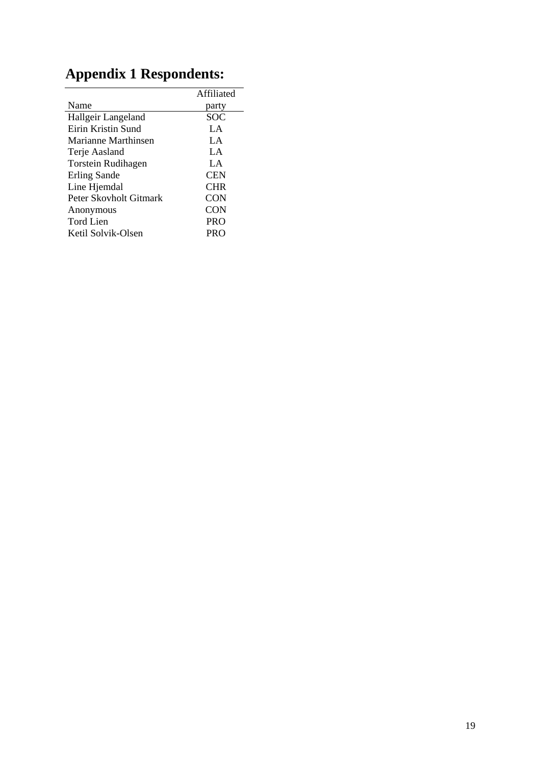|                        | Affiliated |
|------------------------|------------|
| Name                   | party      |
| Hallgeir Langeland     | <b>SOC</b> |
| Eirin Kristin Sund     | LA.        |
| Marianne Marthinsen    | LA.        |
| Terje Aasland          | LA.        |
| Torstein Rudihagen     | LA.        |
| Erling Sande           | <b>CEN</b> |
| Line Hjemdal           | <b>CHR</b> |
| Peter Skovholt Gitmark | <b>CON</b> |
| Anonymous              | <b>CON</b> |
| <b>Tord Lien</b>       | <b>PRO</b> |
| Ketil Solvik-Olsen     | PRO        |

# **Appendix 1 Respondents:**